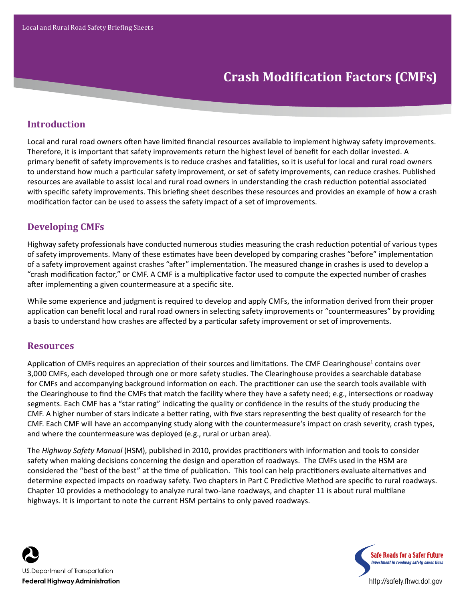# **Crash Modification Factors (CMFs)**

# **Introduction**

Local and rural road owners often have limited financial resources available to implement highway safety improvements. Therefore, it is important that safety improvements return the highest level of benefit for each dollar invested. A primary benefit of safety improvements is to reduce crashes and fatalities, so it is useful for local and rural road owners to understand how much a particular safety improvement, or set of safety improvements, can reduce crashes. Published resources are available to assist local and rural road owners in understanding the crash reduction potential associated with specific safety improvements. This briefing sheet describes these resources and provides an example of how a crash modification factor can be used to assess the safety impact of a set of improvements.

## **Developing CMFs**

Highway safety professionals have conducted numerous studies measuring the crash reduction potential of various types of safety improvements. Many of these estimates have been developed by comparing crashes "before" implementation of a safety improvement against crashes "after" implementation. The measured change in crashes is used to develop a "crash modification factor," or CMF. A CMF is a multiplicative factor used to compute the expected number of crashes after implementing a given countermeasure at a specific site.

While some experience and judgment is required to develop and apply CMFs, the information derived from their proper application can benefit local and rural road owners in selecting safety improvements or "countermeasures" by providing a basis to understand how crashes are affected by a particular safety improvement or set of improvements.

#### **Resources**

Application of CMFs requires an appreciation of their sources and limitations. The CMF Clearinghouse<sup>1</sup> contains over 3,000 CMFs, each developed through one or more safety studies. The Clearinghouse provides a searchable database for CMFs and accompanying background information on each. The practitioner can use the search tools available with the Clearinghouse to find the CMFs that match the facility where they have a safety need; e.g., intersections or roadway segments. Each CMF has a "star rating" indicating the quality or confidence in the results of the study producing the CMF. A higher number of stars indicate a better rating, with five stars representing the best quality of research for the CMF. Each CMF will have an accompanying study along with the countermeasure's impact on crash severity, crash types, and where the countermeasure was deployed (e.g., rural or urban area).

The *Highway Safety Manual* (HSM), published in 2010, provides practitioners with information and tools to consider safety when making decisions concerning the design and operation of roadways. The CMFs used in the HSM are considered the "best of the best" at the time of publication. This tool can help practitioners evaluate alternatives and determine expected impacts on roadway safety. Two chapters in Part C Predictive Method are specific to rural roadways. Chapter 10 provides a methodology to analyze rural two-lane roadways, and chapter 11 is about rural multilane highways. It is important to note the current HSM pertains to only paved roadways.



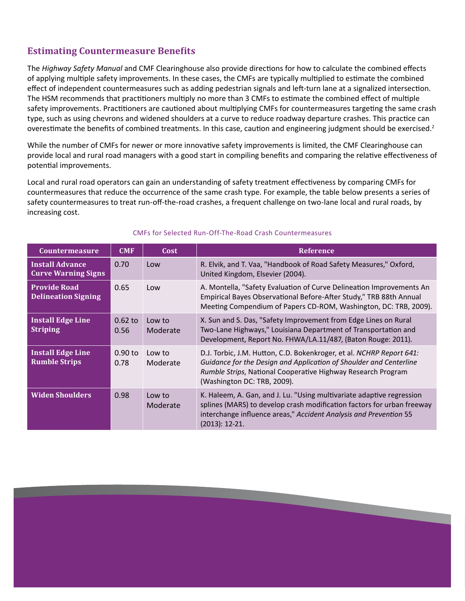## **Estimating Countermeasure Benefits**

The *Highway Safety Manual* and CMF Clearinghouse also provide directions for how to calculate the combined effects of applying multiple safety improvements. In these cases, the CMFs are typically multiplied to estimate the combined effect of independent countermeasures such as adding pedestrian signals and left-turn lane at a signalized intersection. The HSM recommends that practitioners multiply no more than 3 CMFs to estimate the combined effect of multiple safety improvements. Practitioners are cautioned about multiplying CMFs for countermeasures targeting the same crash type, such as using chevrons and widened shoulders at a curve to reduce roadway departure crashes. This practice can overestimate the benefits of combined treatments. In this case, caution and engineering judgment should be exercised.<sup>2</sup>

While the number of CMFs for newer or more innovative safety improvements is limited, the CMF Clearinghouse can provide local and rural road managers with a good start in compiling benefits and comparing the relative effectiveness of potential improvements.

Local and rural road operators can gain an understanding of safety treatment effectiveness by comparing CMFs for countermeasures that reduce the occurrence of the same crash type. For example, the table below presents a series of safety countermeasures to treat run-off-the-road crashes, a frequent challenge on two-lane local and rural roads, by increasing cost.

| <b>Countermeasure</b>                                | <b>CMF</b>        | Cost               | <b>Reference</b>                                                                                                                                                                                                                          |
|------------------------------------------------------|-------------------|--------------------|-------------------------------------------------------------------------------------------------------------------------------------------------------------------------------------------------------------------------------------------|
| <b>Install Advance</b><br><b>Curve Warning Signs</b> | 0.70              | Low                | R. Elvik, and T. Vaa, "Handbook of Road Safety Measures," Oxford,<br>United Kingdom, Elsevier (2004).                                                                                                                                     |
| <b>Provide Road</b><br><b>Delineation Signing</b>    | 0.65              | Low                | A. Montella, "Safety Evaluation of Curve Delineation Improvements An<br>Empirical Bayes Observational Before-After Study," TRB 88th Annual<br>Meeting Compendium of Papers CD-ROM, Washington, DC: TRB, 2009).                            |
| <b>Install Edge Line</b><br><b>Striping</b>          | $0.62$ to<br>0.56 | Low to<br>Moderate | X. Sun and S. Das, "Safety Improvement from Edge Lines on Rural<br>Two-Lane Highways," Louisiana Department of Transportation and<br>Development, Report No. FHWA/LA.11/487, (Baton Rouge: 2011).                                         |
| <b>Install Edge Line</b><br><b>Rumble Strips</b>     | $0.90$ to<br>0.78 | Low to<br>Moderate | D.J. Torbic, J.M. Hutton, C.D. Bokenkroger, et al. NCHRP Report 641:<br>Guidance for the Design and Application of Shoulder and Centerline<br>Rumble Strips, National Cooperative Highway Research Program<br>(Washington DC: TRB, 2009). |
| <b>Widen Shoulders</b>                               | 0.98              | Low to<br>Moderate | K. Haleem, A. Gan, and J. Lu. "Using multivariate adaptive regression<br>splines (MARS) to develop crash modification factors for urban freeway<br>interchange influence areas," Accident Analysis and Prevention 55<br>(2013): 12-21.    |

#### CMFs for Selected Run-Off-The-Road Crash Countermeasures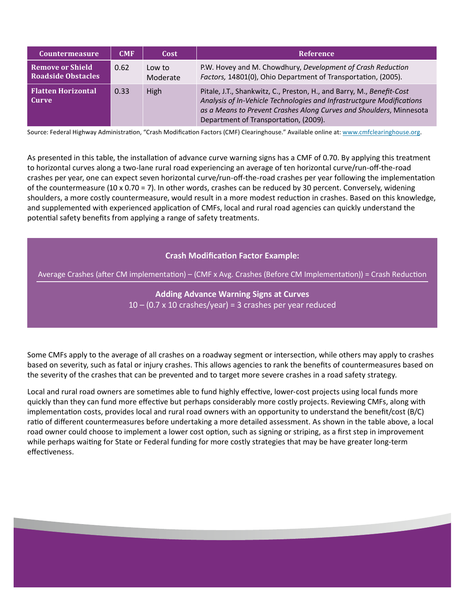| <b>Countermeasure</b>                     | <b>CMF</b> | Cost               | Reference                                                                                                                                                                                                                                                      |
|-------------------------------------------|------------|--------------------|----------------------------------------------------------------------------------------------------------------------------------------------------------------------------------------------------------------------------------------------------------------|
| Remove or Shield<br>Roadside Obstacles    | 0.62       | Low to<br>Moderate | P.W. Hovey and M. Chowdhury, Development of Crash Reduction<br>Factors, 14801(0), Ohio Department of Transportation, (2005).                                                                                                                                   |
| <b>Flatten Horizontal</b><br><b>Curve</b> | 0.33       | High               | Pitale, J.T., Shankwitz, C., Preston, H., and Barry, M., Benefit-Cost<br>Analysis of In-Vehicle Technologies and Infrastructgure Modifications<br>as a Means to Prevent Crashes Along Curves and Shoulders, Minnesota<br>Department of Transportation, (2009). |

Source: Federal Highway Administration, "Crash Modification Factors (CMF) Clearinghouse." Available online at: www.cmfclearinghouse.org.

As presented in this table, the installation of advance curve warning signs has a CMF of 0.70. By applying this treatment to horizontal curves along a two-lane rural road experiencing an average of ten horizontal curve/run-off-the-road crashes per year, one can expect seven horizontal curve/run-off-the-road crashes per year following the implementation of the countermeasure (10 x 0.70 = 7). In other words, crashes can be reduced by 30 percent. Conversely, widening shoulders, a more costly countermeasure, would result in a more modest reduction in crashes. Based on this knowledge, and supplemented with experienced application of CMFs, local and rural road agencies can quickly understand the potential safety benefits from applying a range of safety treatments.

#### **Crash Modification Factor Example:**

Average Crashes (after CM implementation) – (CMF x Avg. Crashes (Before CM Implementation)) = Crash Reduction

**Adding Advance Warning Signs at Curves**  $10 - (0.7 \times 10 \text{ crashes/year}) = 3 \text{ crashes per year reader}$ 

Some CMFs apply to the average of all crashes on a roadway segment or intersection, while others may apply to crashes based on severity, such as fatal or injury crashes. This allows agencies to rank the benefits of countermeasures based on the severity of the crashes that can be prevented and to target more severe crashes in a road safety strategy.

Local and rural road owners are sometimes able to fund highly effective, lower-cost projects using local funds more quickly than they can fund more effective but perhaps considerably more costly projects. Reviewing CMFs, along with implementation costs, provides local and rural road owners with an opportunity to understand the benefit/cost (B/C) ratio of different countermeasures before undertaking a more detailed assessment. As shown in the table above, a local road owner could choose to implement a lower cost option, such as signing or striping, as a first step in improvement while perhaps waiting for State or Federal funding for more costly strategies that may be have greater long-term effectiveness.